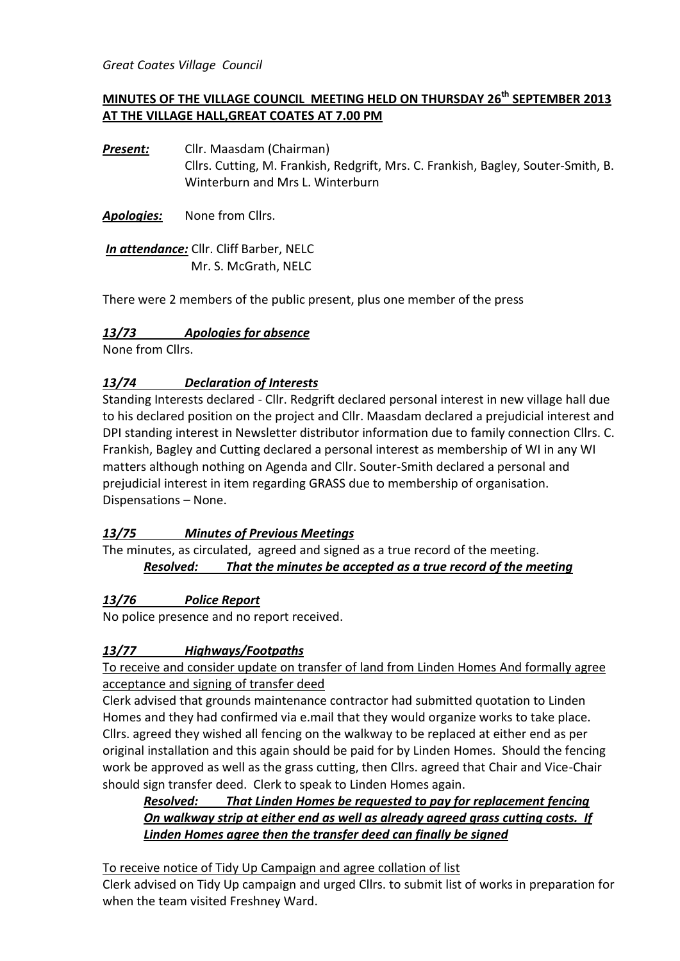*Great Coates Village Council*

# **MINUTES OF THE VILLAGE COUNCIL MEETING HELD ON THURSDAY 26th SEPTEMBER 2013 AT THE VILLAGE HALL,GREAT COATES AT 7.00 PM**

*Present:* Cllr. Maasdam (Chairman) Cllrs. Cutting, M. Frankish, Redgrift, Mrs. C. Frankish, Bagley, Souter-Smith, B. Winterburn and Mrs L. Winterburn

*Apologies:* None from Cllrs.

*In attendance:* Cllr. Cliff Barber, NELC Mr. S. McGrath, NELC

There were 2 members of the public present, plus one member of the press

#### *13/73 Apologies for absence*

None from Cllrs.

#### *13/74 Declaration of Interests*

Standing Interests declared - Cllr. Redgrift declared personal interest in new village hall due to his declared position on the project and Cllr. Maasdam declared a prejudicial interest and DPI standing interest in Newsletter distributor information due to family connection Cllrs. C. Frankish, Bagley and Cutting declared a personal interest as membership of WI in any WI matters although nothing on Agenda and Cllr. Souter-Smith declared a personal and prejudicial interest in item regarding GRASS due to membership of organisation. Dispensations – None.

#### *13/75 Minutes of Previous Meetings*

The minutes, as circulated, agreed and signed as a true record of the meeting. *Resolved: That the minutes be accepted as a true record of the meeting* 

#### *13/76 Police Report*

No police presence and no report received.

#### *13/77 Highways/Footpaths*

To receive and consider update on transfer of land from Linden Homes And formally agree acceptance and signing of transfer deed

Clerk advised that grounds maintenance contractor had submitted quotation to Linden Homes and they had confirmed via e.mail that they would organize works to take place. Cllrs. agreed they wished all fencing on the walkway to be replaced at either end as per original installation and this again should be paid for by Linden Homes. Should the fencing work be approved as well as the grass cutting, then Cllrs. agreed that Chair and Vice-Chair should sign transfer deed. Clerk to speak to Linden Homes again.

#### *Resolved: That Linden Homes be requested to pay for replacement fencing On walkway strip at either end as well as already agreed grass cutting costs. If Linden Homes agree then the transfer deed can finally be signed*

To receive notice of Tidy Up Campaign and agree collation of list

Clerk advised on Tidy Up campaign and urged Cllrs. to submit list of works in preparation for when the team visited Freshney Ward.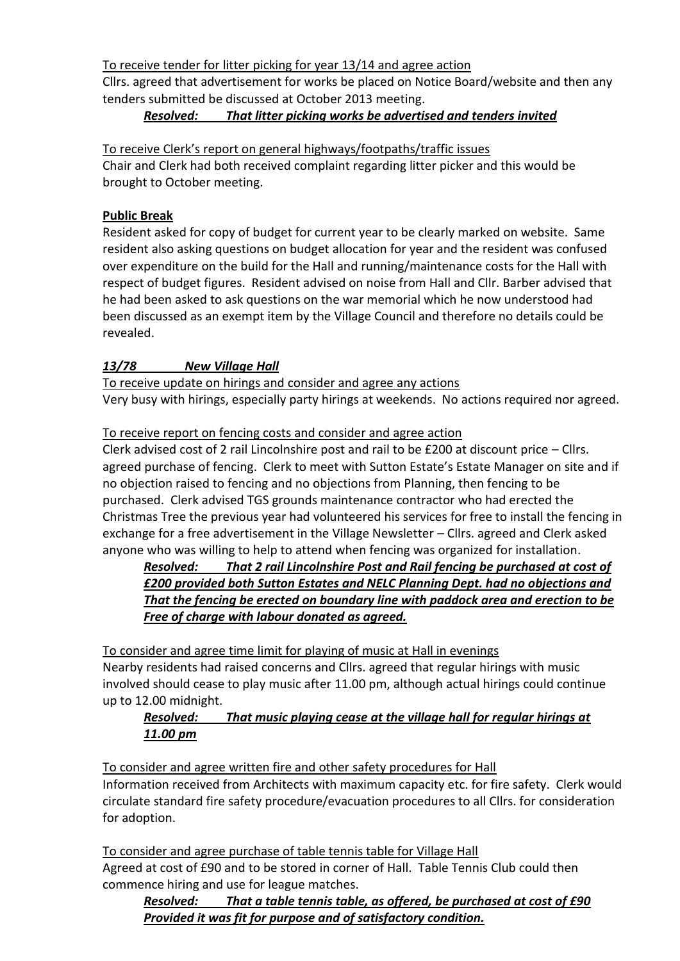To receive tender for litter picking for year 13/14 and agree action

Cllrs. agreed that advertisement for works be placed on Notice Board/website and then any tenders submitted be discussed at October 2013 meeting.

# *Resolved: That litter picking works be advertised and tenders invited*

To receive Clerk's report on general highways/footpaths/traffic issues

Chair and Clerk had both received complaint regarding litter picker and this would be brought to October meeting.

# **Public Break**

Resident asked for copy of budget for current year to be clearly marked on website. Same resident also asking questions on budget allocation for year and the resident was confused over expenditure on the build for the Hall and running/maintenance costs for the Hall with respect of budget figures. Resident advised on noise from Hall and Cllr. Barber advised that he had been asked to ask questions on the war memorial which he now understood had been discussed as an exempt item by the Village Council and therefore no details could be revealed.

# *13/78 New Village Hall*

To receive update on hirings and consider and agree any actions Very busy with hirings, especially party hirings at weekends. No actions required nor agreed.

# To receive report on fencing costs and consider and agree action

Clerk advised cost of 2 rail Lincolnshire post and rail to be £200 at discount price – Cllrs. agreed purchase of fencing. Clerk to meet with Sutton Estate's Estate Manager on site and if no objection raised to fencing and no objections from Planning, then fencing to be purchased. Clerk advised TGS grounds maintenance contractor who had erected the Christmas Tree the previous year had volunteered his services for free to install the fencing in exchange for a free advertisement in the Village Newsletter – Cllrs. agreed and Clerk asked anyone who was willing to help to attend when fencing was organized for installation.

*Resolved: That 2 rail Lincolnshire Post and Rail fencing be purchased at cost of £200 provided both Sutton Estates and NELC Planning Dept. had no objections and That the fencing be erected on boundary line with paddock area and erection to be Free of charge with labour donated as agreed.*

To consider and agree time limit for playing of music at Hall in evenings Nearby residents had raised concerns and Cllrs. agreed that regular hirings with music involved should cease to play music after 11.00 pm, although actual hirings could continue up to 12.00 midnight.

# *Resolved: That music playing cease at the village hall for regular hirings at 11.00 pm*

To consider and agree written fire and other safety procedures for Hall Information received from Architects with maximum capacity etc. for fire safety. Clerk would circulate standard fire safety procedure/evacuation procedures to all Cllrs. for consideration for adoption.

To consider and agree purchase of table tennis table for Village Hall Agreed at cost of £90 and to be stored in corner of Hall. Table Tennis Club could then commence hiring and use for league matches.

*Resolved: That a table tennis table, as offered, be purchased at cost of £90 Provided it was fit for purpose and of satisfactory condition.*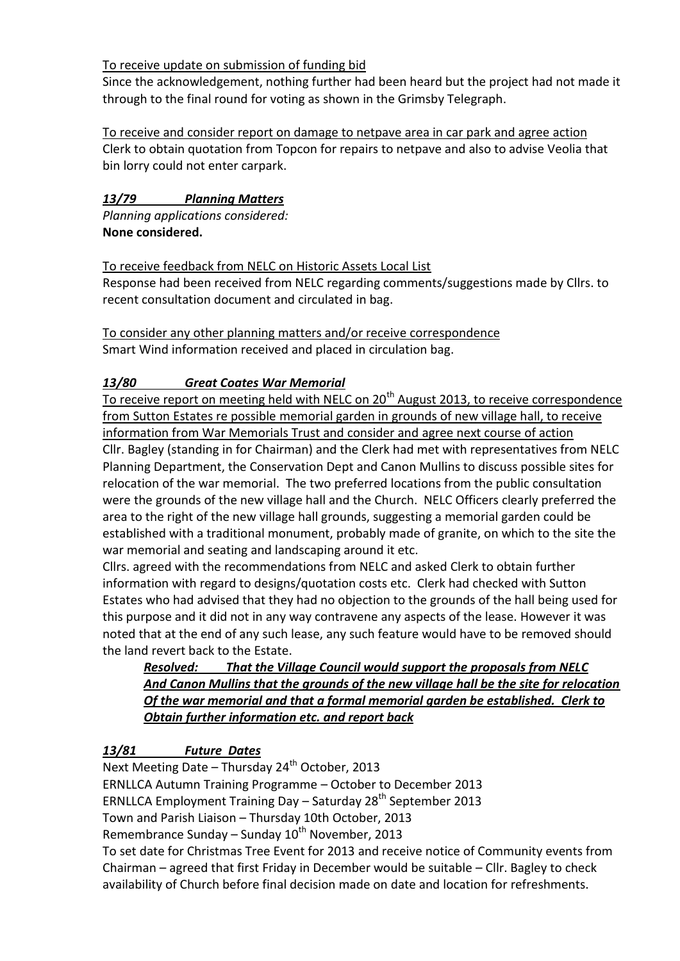#### To receive update on submission of funding bid

Since the acknowledgement, nothing further had been heard but the project had not made it through to the final round for voting as shown in the Grimsby Telegraph.

To receive and consider report on damage to netpave area in car park and agree action Clerk to obtain quotation from Topcon for repairs to netpave and also to advise Veolia that bin lorry could not enter carpark.

# *13/79 Planning Matters*

*Planning applications considered:* **None considered.**

To receive feedback from NELC on Historic Assets Local List Response had been received from NELC regarding comments/suggestions made by Cllrs. to recent consultation document and circulated in bag.

# To consider any other planning matters and/or receive correspondence

Smart Wind information received and placed in circulation bag.

# *13/80 Great Coates War Memorial*

To receive report on meeting held with NELC on 20<sup>th</sup> August 2013, to receive correspondence from Sutton Estates re possible memorial garden in grounds of new village hall, to receive information from War Memorials Trust and consider and agree next course of action Cllr. Bagley (standing in for Chairman) and the Clerk had met with representatives from NELC Planning Department, the Conservation Dept and Canon Mullins to discuss possible sites for relocation of the war memorial. The two preferred locations from the public consultation were the grounds of the new village hall and the Church. NELC Officers clearly preferred the area to the right of the new village hall grounds, suggesting a memorial garden could be established with a traditional monument, probably made of granite, on which to the site the war memorial and seating and landscaping around it etc.

Cllrs. agreed with the recommendations from NELC and asked Clerk to obtain further information with regard to designs/quotation costs etc. Clerk had checked with Sutton Estates who had advised that they had no objection to the grounds of the hall being used for this purpose and it did not in any way contravene any aspects of the lease. However it was noted that at the end of any such lease, any such feature would have to be removed should the land revert back to the Estate.

### *Resolved: That the Village Council would support the proposals from NELC And Canon Mullins that the grounds of the new village hall be the site for relocation Of the war memorial and that a formal memorial garden be established. Clerk to Obtain further information etc. and report back*

# *13/81 Future Dates*

Next Meeting Date – Thursday  $24<sup>th</sup>$  October, 2013 ERNLLCA Autumn Training Programme – October to December 2013 ERNLLCA Employment Training Day - Saturday 28<sup>th</sup> September 2013 Town and Parish Liaison – Thursday 10th October, 2013 Remembrance Sunday – Sunday  $10^{th}$  November, 2013 To set date for Christmas Tree Event for 2013 and receive notice of Community events from Chairman – agreed that first Friday in December would be suitable – Cllr. Bagley to check availability of Church before final decision made on date and location for refreshments.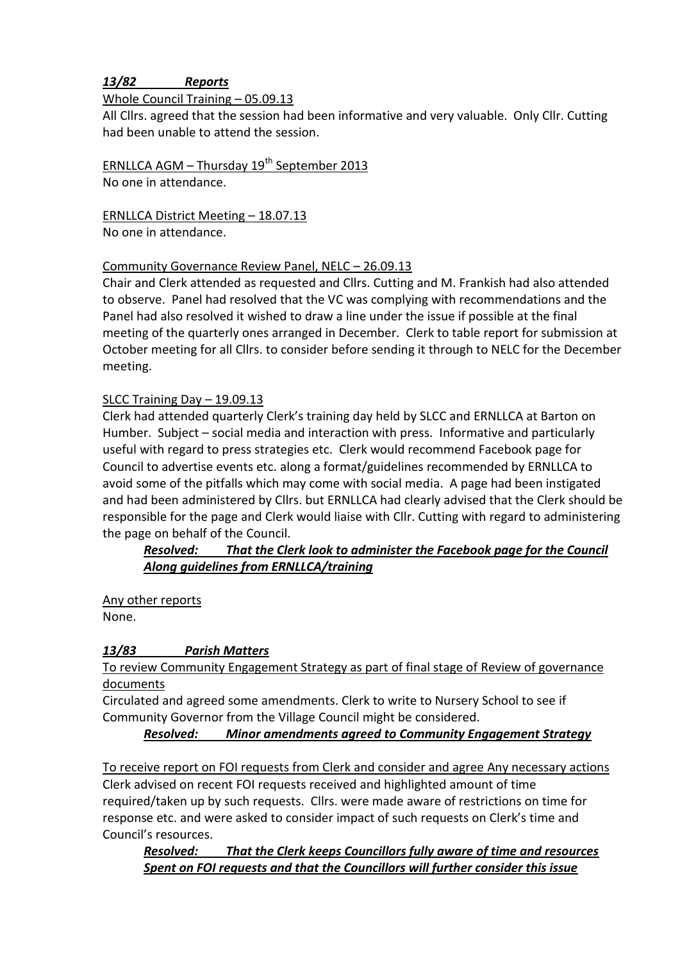### *13/82 Reports*

#### Whole Council Training – 05.09.13

All Cllrs. agreed that the session had been informative and very valuable. Only Cllr. Cutting had been unable to attend the session.

ERNLLCA AGM – Thursday  $19<sup>th</sup>$  September 2013 No one in attendance.

ERNLLCA District Meeting – 18.07.13 No one in attendance.

#### Community Governance Review Panel, NELC – 26.09.13

Chair and Clerk attended as requested and Cllrs. Cutting and M. Frankish had also attended to observe. Panel had resolved that the VC was complying with recommendations and the Panel had also resolved it wished to draw a line under the issue if possible at the final meeting of the quarterly ones arranged in December. Clerk to table report for submission at October meeting for all Cllrs. to consider before sending it through to NELC for the December meeting.

#### SLCC Training Day – 19.09.13

Clerk had attended quarterly Clerk's training day held by SLCC and ERNLLCA at Barton on Humber. Subject – social media and interaction with press. Informative and particularly useful with regard to press strategies etc. Clerk would recommend Facebook page for Council to advertise events etc. along a format/guidelines recommended by ERNLLCA to avoid some of the pitfalls which may come with social media. A page had been instigated and had been administered by Cllrs. but ERNLLCA had clearly advised that the Clerk should be responsible for the page and Clerk would liaise with Cllr. Cutting with regard to administering the page on behalf of the Council.

#### *Resolved: That the Clerk look to administer the Facebook page for the Council Along guidelines from ERNLLCA/training*

Any other reports None.

#### *13/83 Parish Matters*

#### To review Community Engagement Strategy as part of final stage of Review of governance documents

Circulated and agreed some amendments. Clerk to write to Nursery School to see if Community Governor from the Village Council might be considered.

*Resolved: Minor amendments agreed to Community Engagement Strategy*

#### To receive report on FOI requests from Clerk and consider and agree Any necessary actions

Clerk advised on recent FOI requests received and highlighted amount of time required/taken up by such requests. Cllrs. were made aware of restrictions on time for response etc. and were asked to consider impact of such requests on Clerk's time and Council's resources.

*Resolved: That the Clerk keeps Councillors fully aware of time and resources Spent on FOI requests and that the Councillors will further consider this issue*